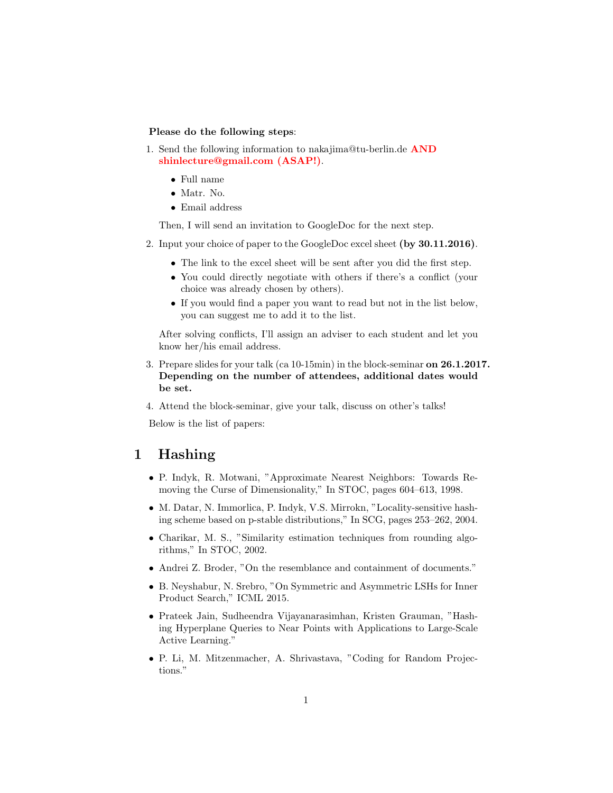#### Please do the following steps:

- 1. Send the following information to nakajima@tu-berlin.de AND shinlecture@gmail.com (ASAP!).
	- Full name
	- Matr. No.
	- Email address

Then, I will send an invitation to GoogleDoc for the next step.

- 2. Input your choice of paper to the GoogleDoc excel sheet (by 30.11.2016).
	- The link to the excel sheet will be sent after you did the first step.
	- You could directly negotiate with others if there's a conflict (your choice was already chosen by others).
	- If you would find a paper you want to read but not in the list below, you can suggest me to add it to the list.

After solving conflicts, I'll assign an adviser to each student and let you know her/his email address.

- 3. Prepare slides for your talk (ca 10-15min) in the block-seminar on 26.1.2017. Depending on the number of attendees, additional dates would be set.
- 4. Attend the block-seminar, give your talk, discuss on other's talks!

Below is the list of papers:

#### 1 Hashing

- P. Indyk, R. Motwani, "Approximate Nearest Neighbors: Towards Removing the Curse of Dimensionality," In STOC, pages 604–613, 1998.
- M. Datar, N. Immorlica, P. Indyk, V.S. Mirrokn, "Locality-sensitive hashing scheme based on p-stable distributions," In SCG, pages 253–262, 2004.
- Charikar, M. S., "Similarity estimation techniques from rounding algorithms," In STOC, 2002.
- Andrei Z. Broder, "On the resemblance and containment of documents."
- B. Neyshabur, N. Srebro, "On Symmetric and Asymmetric LSHs for Inner Product Search," ICML 2015.
- Prateek Jain, Sudheendra Vijayanarasimhan, Kristen Grauman, "Hashing Hyperplane Queries to Near Points with Applications to Large-Scale Active Learning."
- P. Li, M. Mitzenmacher, A. Shrivastava, "Coding for Random Projections."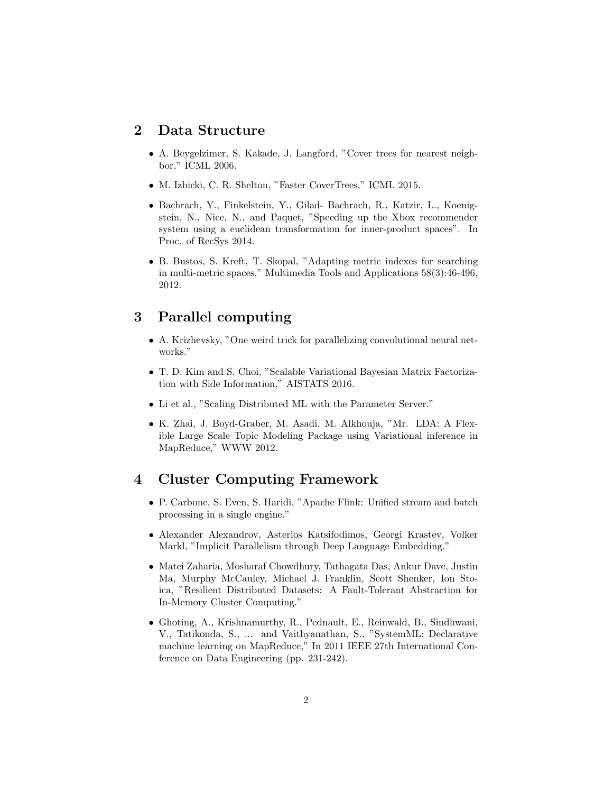### 2 Data Structure

- A. Beygelzimer, S. Kakade, J. Langford, "Cover trees for nearest neighbor," ICML 2006.
- M. Izbicki, C. R. Shelton, "Faster CoverTrees," ICML 2015.
- Bachrach, Y., Finkelstein, Y., Gilad- Bachrach, R., Katzir, L., Koenigstein, N., Nice, N., and Paquet, "Speeding up the Xbox recommender system using a euclidean transformation for inner-product spaces". In Proc. of RecSys 2014.
- B. Bustos, S. Kreft, T. Skopal, "Adapting metric indexes for searching in multi-metric spaces," Multimedia Tools and Applications 58(3):46-496, 2012.

### 3 Parallel computing

- A. Krizhevsky, "One weird trick for parallelizing convolutional neural networks."
- T. D. Kim and S. Choi, "Scalable Variational Bayesian Matrix Factorization with Side Information," AISTATS 2016.
- Li et al., "Scaling Distributed ML with the Parameter Server."
- K. Zhai, J. Boyd-Graber, M. Asadi, M. Alkhouja, "Mr. LDA: A Flexible Large Scale Topic Modeling Package using Variational inference in MapReduce," WWW 2012.

## 4 Cluster Computing Framework

- P. Carbone, S. Even, S. Haridi, "Apache Flink: Unified stream and batch processing in a single engine."
- Alexander Alexandrov, Asterios Katsifodimos, Georgi Krastev, Volker Markl, "Implicit Parallelism through Deep Language Embedding."
- Matei Zaharia, Mosharaf Chowdhury, Tathagata Das, Ankur Dave, Justin Ma, Murphy McCauley, Michael J. Franklin, Scott Shenker, Ion Stoica, "Resilient Distributed Datasets: A Fault-Tolerant Abstraction for In-Memory Cluster Computing."
- Ghoting, A., Krishnamurthy, R., Pednault, E., Reinwald, B., Sindhwani, V., Tatikonda, S., ... and Vaithyanathan, S., "SystemML: Declarative machine learning on MapReduce," In 2011 IEEE 27th International Conference on Data Engineering (pp. 231-242).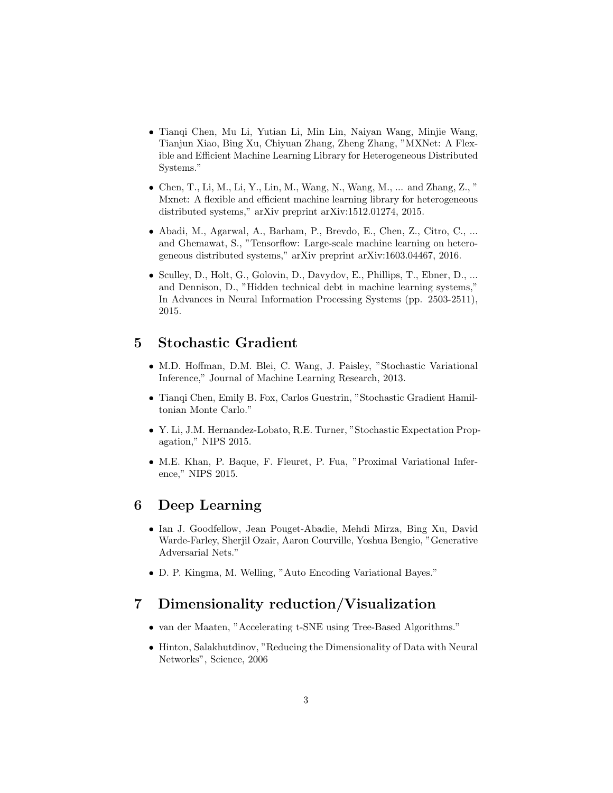- Tianqi Chen, Mu Li, Yutian Li, Min Lin, Naiyan Wang, Minjie Wang, Tianjun Xiao, Bing Xu, Chiyuan Zhang, Zheng Zhang, "MXNet: A Flexible and Efficient Machine Learning Library for Heterogeneous Distributed Systems."
- Chen, T., Li, M., Li, Y., Lin, M., Wang, N., Wang, M., ... and Zhang, Z., " Mxnet: A flexible and efficient machine learning library for heterogeneous distributed systems," arXiv preprint arXiv:1512.01274, 2015.
- Abadi, M., Agarwal, A., Barham, P., Brevdo, E., Chen, Z., Citro, C., ... and Ghemawat, S., "Tensorflow: Large-scale machine learning on heterogeneous distributed systems," arXiv preprint arXiv:1603.04467, 2016.
- Sculley, D., Holt, G., Golovin, D., Davydov, E., Phillips, T., Ebner, D., ... and Dennison, D., "Hidden technical debt in machine learning systems," In Advances in Neural Information Processing Systems (pp. 2503-2511), 2015.

## 5 Stochastic Gradient

- M.D. Hoffman, D.M. Blei, C. Wang, J. Paisley, "Stochastic Variational Inference," Journal of Machine Learning Research, 2013.
- Tianqi Chen, Emily B. Fox, Carlos Guestrin, "Stochastic Gradient Hamiltonian Monte Carlo."
- Y. Li, J.M. Hernandez-Lobato, R.E. Turner, "Stochastic Expectation Propagation," NIPS 2015.
- M.E. Khan, P. Baque, F. Fleuret, P. Fua, "Proximal Variational Inference," NIPS 2015.

## 6 Deep Learning

- Ian J. Goodfellow, Jean Pouget-Abadie, Mehdi Mirza, Bing Xu, David Warde-Farley, Sherjil Ozair, Aaron Courville, Yoshua Bengio, "Generative Adversarial Nets."
- D. P. Kingma, M. Welling, "Auto Encoding Variational Bayes."

# 7 Dimensionality reduction/Visualization

- van der Maaten, "Accelerating t-SNE using Tree-Based Algorithms."
- Hinton, Salakhutdinov, "Reducing the Dimensionality of Data with Neural Networks", Science, 2006